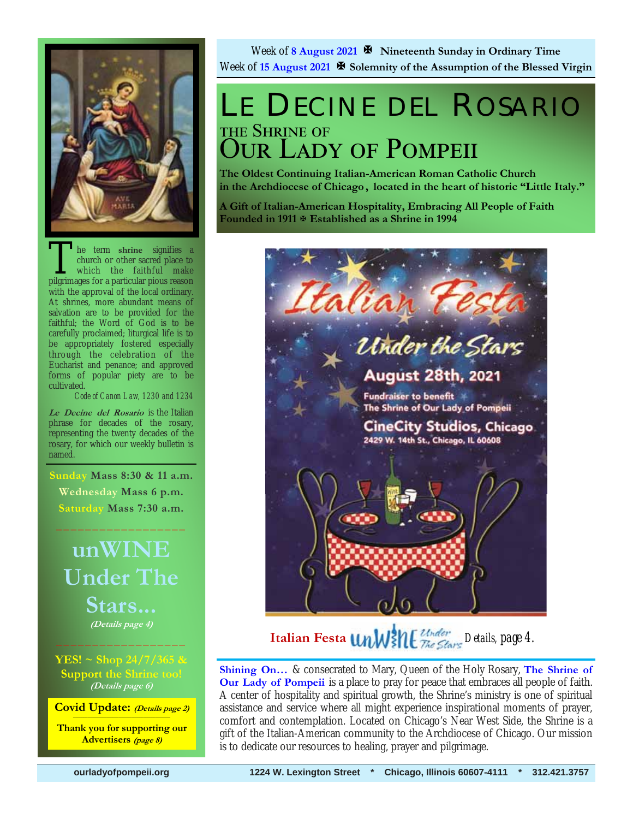

The term shrine signifies a<br>church or other sacred place to<br>which the faithful make<br>pilgrimages for a particular pious reason church or other sacred place to which the faithful make pilgrimages for a particular pious reason with the approval of the local ordinary. At shrines, more abundant means of salvation are to be provided for the faithful; the Word of God is to be carefully proclaimed; liturgical life is to be appropriately fostered especially through the celebration of the Eucharist and penance; and approved forms of popular piety are to be cultivated.

*Code of Canon Law, 1230 and 1234* 

**Le Decine del Rosario** is the Italian phrase for decades of the rosary, representing the twenty decades of the rosary, for which our weekly bulletin is named.

 **Sunday Mass 8:30 & 11 a.m. Wednesday Mass 6 p.m. Saturday Mass 7:30 a.m.** 

 $\frac{1}{2}$  ,  $\frac{1}{2}$  ,  $\frac{1}{2}$  ,  $\frac{1}{2}$  ,  $\frac{1}{2}$  ,  $\frac{1}{2}$  ,  $\frac{1}{2}$  ,  $\frac{1}{2}$ 

## **unWINE Under The Stars... (Details page 4)**  $\frac{1}{2}$  , and the set of the set of the set of the set of the set of the set of the set of the set of the set of the set of the set of the set of the set of the set of the set of the set of the set of the set of the set

**YES! ~ Shop 24/7/365 & Support the Shrine too! (Details page 6)**

**Covid Update: (Details page 2)** 

**Thank you for supporting our Advertisers (page 8)**

Week of **8 August 2021 Nineteenth Sunday in Ordinary Time** Week of 15 August 2021  $\mathbb{F}$  Solemnity of the Assumption of the Blessed Virgin

## LE DECINE DEL ROSARIO THE SHRINE OF **OUR LADY OF POMPEII**

**The Oldest Continuing Italian-American Roman Catholic Church in the Archdiocese of Chicago , located in the heart of historic "Little Italy."** 

**A Gift of Italian-American Hospitality, Embracing All People of Faith Founded in 1911 Established as a Shrine in 1994**



**Italian Festa** *UnW* **ME** *Zhe Stars* Details, page 4.

**Shining On…** & consecrated to Mary, Queen of the Holy Rosary, **The Shrine of Our Lady of Pompeii** is a place to pray for peace that embraces all people of faith. A center of hospitality and spiritual growth, the Shrine's ministry is one of spiritual assistance and service where all might experience inspirational moments of prayer, comfort and contemplation. Located on Chicago's Near West Side, the Shrine is a gift of the Italian-American community to the Archdiocese of Chicago. Our mission is to dedicate our resources to healing, prayer and pilgrimage.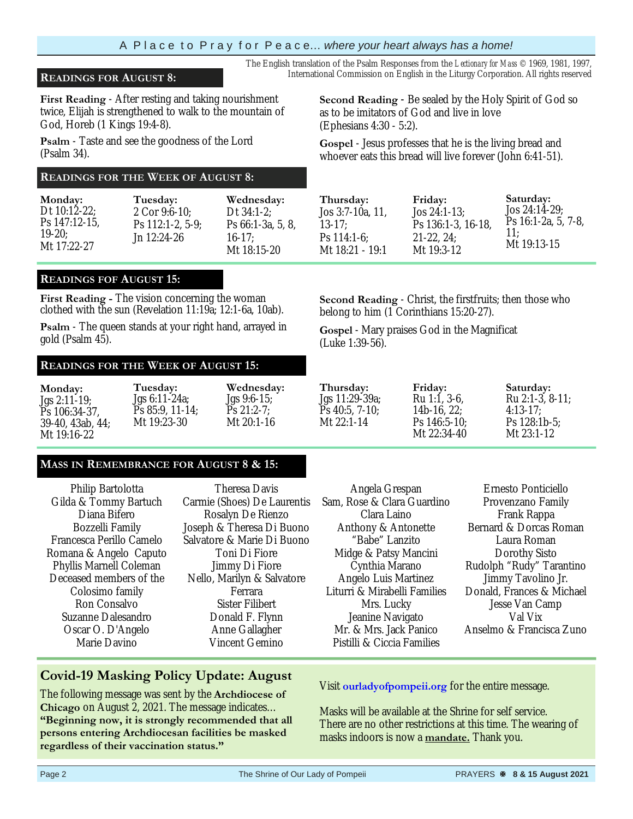#### A P l a c e t o P r a y f o r P e a c e… *where your heart always has a home!*

### **READINGS FOR AUGUST 8:** International Commission on English in the Liturgy Corporation. All rights reserved

**First Reading** - After resting and taking nourishment twice, Elijah is strengthened to walk to the mountain of God, Horeb (1 Kings 19:4-8).

**Psalm** - Taste and see the goodness of the Lord (Psalm 34).

### **READINGS FOR THE WEEK OF AUGUST 8:**

| Monday:         | Tuesday:           | Wednesday:        |
|-----------------|--------------------|-------------------|
| Dt $10:12-22$ ; | 2 Cor 9:6-10:      | Dt $34:1-2$ :     |
| Ps 147:12-15.   | $Ps$ 112:1-2, 5-9; | Ps 66:1-3a, 5, 8, |
| $19-20$         | Jn 12:24-26        | $16-17$ :         |
| Mt 17:22-27     |                    | Mt 18:15-20       |

#### **READINGS FOF AUGUST 15:**

**First Reading -** The vision concerning the woman clothed with the sun (Revelation 11:19a; 12:1-6a, 10ab).

**Psalm** - The queen stands at your right hand, arrayed in gold (Psalm 45).

### **READINGS FOR THE WEEK OF AUGUST 15:**

| Monday:          | Tuesday:         | Wednesday:     | Thursday:        | Friday:        | Saturday:             |
|------------------|------------------|----------------|------------------|----------------|-----------------------|
| $Jgs 2:11-19;$   | $Jgs 6:11-24a$ ; | $Jgs 9:6-15$ ; | Jgs 11:29-39a;   | Ru 1:1, 3-6.   | Ru $2:1-3$ , $8-11$ ; |
| Ps 106:34-37.    | $Ps 85:9, 11-14$ | $Ps 21:2-7$ :  | $Ps$ 40:5, 7-10; | $14b-16, 22$ ; | $4:13-17:$            |
| 39-40, 43ab, 44; | Mt 19:23-30      | Mt $20:1-16$   | Mt $22:1-14$     | $Ps$ 146:5-10; | Ps $128:1b-5$ :       |
| Mt 19:16-22      |                  |                |                  | Mt $22:34-40$  | Mt $23:1-12$          |

#### **MASS IN REMEMBRANCE FOR AUGUST 8 & 15:**

Philip Bartolotta Gilda & Tommy Bartuch Diana Bifero Bozzelli Family Francesca Perillo Camelo Romana & Angelo Caputo Phyllis Marnell Coleman Deceased members of the Colosimo family Ron Consalvo Suzanne Dalesandro Oscar O. D'Angelo Marie Davino

Theresa Davis Carmie (Shoes) De Laurentis Rosalyn De Rienzo Joseph & Theresa Di Buono Salvatore & Marie Di Buono Toni Di Fiore Jimmy Di Fiore Nello, Marilyn & Salvatore Ferrara Sister Filibert Donald F. Flynn Anne Gallagher Vincent Gemino

Angela Grespan Sam, Rose & Clara Guardino Clara Laino Anthony & Antonette "Babe" Lanzito Midge & Patsy Mancini Cynthia Marano Angelo Luis Martinez Liturri & Mirabelli Families Mrs. Lucky Jeanine Navigato Mr. & Mrs. Jack Panico Pistilli & Ciccia Families

Ernesto Ponticiello Provenzano Family Frank Rappa Bernard & Dorcas Roman Laura Roman Dorothy Sisto Rudolph "Rudy" Tarantino Jimmy Tavolino Jr. Donald, Frances & Michael Jesse Van Camp Val Vix Anselmo & Francisca Zuno

### **Covid-19 Masking Policy Update: August**

The following message was sent by the **Archdiocese of Chicago** on August 2, 2021. The message indicates… **"Beginning now, it is strongly recommended that all persons entering Archdiocesan facilities be masked regardless of their vaccination status."**

Visit **ourladyofpompeii.org** for the entire message.

Masks will be available at the Shrine for self service. There are no other restrictions at this time. The wearing of masks indoors is now a **mandate.** Thank you.

**Second Reading** - Be sealed by the Holy Spirit of God so as to be imitators of God and live in love (Ephesians 4:30 - 5:2).

**Gospel** - Jesus professes that he is the living bread and whoever eats this bread will live forever (John 6:41-51).

The English translation of the Psalm Responses from the *Lectionary for Mass* © 1969, 1981, 1997,

| Friday:            | Saturday:           |
|--------------------|---------------------|
| $Jos 24:1-13$ ;    | $Jos 24:14-29$ ;    |
| Ps 136:1-3, 16-18, | Ps 16:1-2a, 5, 7-8, |
| $21-22, 24$        | 11:                 |
| Mt 19:3-12         | Mt 19:13-15         |
|                    |                     |

**Second Reading** - Christ, the firstfruits; then those who belong to him (1 Corinthians 15:20-27).

**Gospel** - Mary praises God in the Magnificat (Luke 1:39-56).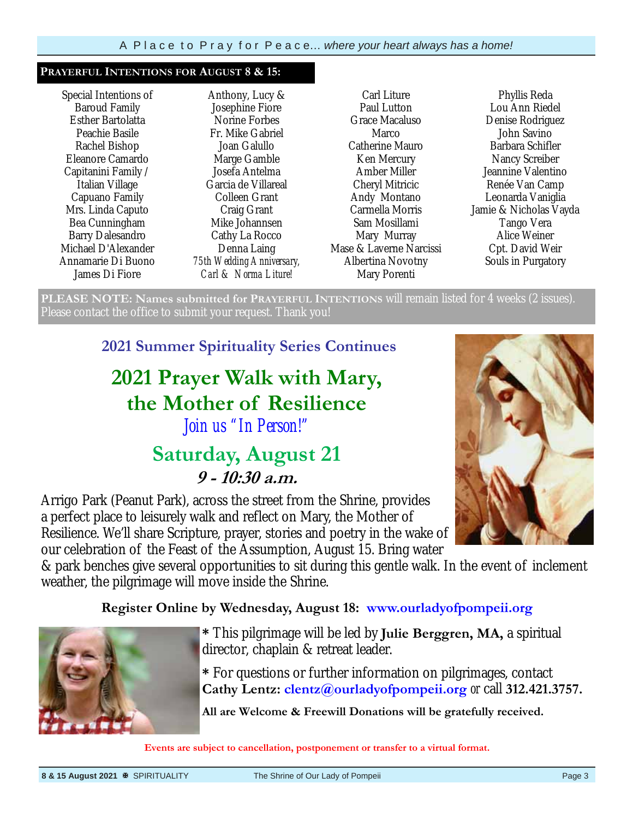#### **PRAYERFUL INTENTIONS FOR AUGUST 8 & 15:**

Special Intentions of Baroud Family Esther Bartolatta Peachie Basile Rachel Bishop Eleanore Camardo Capitanini Family / Italian Village Capuano Family Mrs. Linda Caputo Bea Cunningham Barry Dalesandro Michael D'Alexander Annamarie Di Buono James Di Fiore

Anthony, Lucy & Josephine Fiore Norine Forbes Fr. Mike Gabriel Joan Galullo Marge Gamble Josefa Antelma Garcia de Villareal Colleen Grant Craig Grant Mike Johannsen Cathy La Rocco Denna Laing *75th Wedding Anniversary, Carl & Norma Liture!*

Carl Liture Paul Lutton Grace Macaluso Marco Catherine Mauro Ken Mercury Amber Miller Cheryl Mitricic Andy Montano Carmella Morris Sam Mosillami Mary Murray Mase & Laverne Narcissi Albertina Novotny Mary Porenti

Phyllis Reda Lou Ann Riedel Denise Rodriguez John Savino Barbara Schifler Nancy Screiber Jeannine Valentino Renée Van Camp Leonarda Vaniglia Jamie & Nicholas Vayda Tango Vera Alice Weiner Cpt. David Weir Souls in Purgatory

**PLEASE NOTE: Names submitted for PRAYERFUL INTENTIONS** will remain listed for 4 weeks (2 issues). Please contact the office to submit your request. Thank you!

**2021 Summer Spirituality Series Continues** 

## **2021 Prayer Walk with Mary, the Mother of Resilience**  *Join us "In Person!"*

## **Saturday, August 21 9 - 10:30 a.m.**

Arrigo Park (Peanut Park), across the street from the Shrine, provides a perfect place to leisurely walk and reflect on Mary, the Mother of Resilience. We'll share Scripture, prayer, stories and poetry in the wake of our celebration of the Feast of the Assumption, August 15. Bring water

& park benches give several opportunities to sit during this gentle walk. In the event of inclement weather, the pilgrimage will move inside the Shrine.

### **Register Online by Wednesday, August 18: www.ourladyofpompeii.org**



**\*** This pilgrimage will be led by **Julie Berggren, MA,** a spiritual director, chaplain & retreat leader.

**\*** For questions or further information on pilgrimages, contact **Cathy Lentz: clentz@ourladyofpompeii.org** *or* call **312.421.3757.** 

**All are Welcome & Freewill Donations will be gratefully received.**

**Events are subject to cancellation, postponement or transfer to a virtual format.**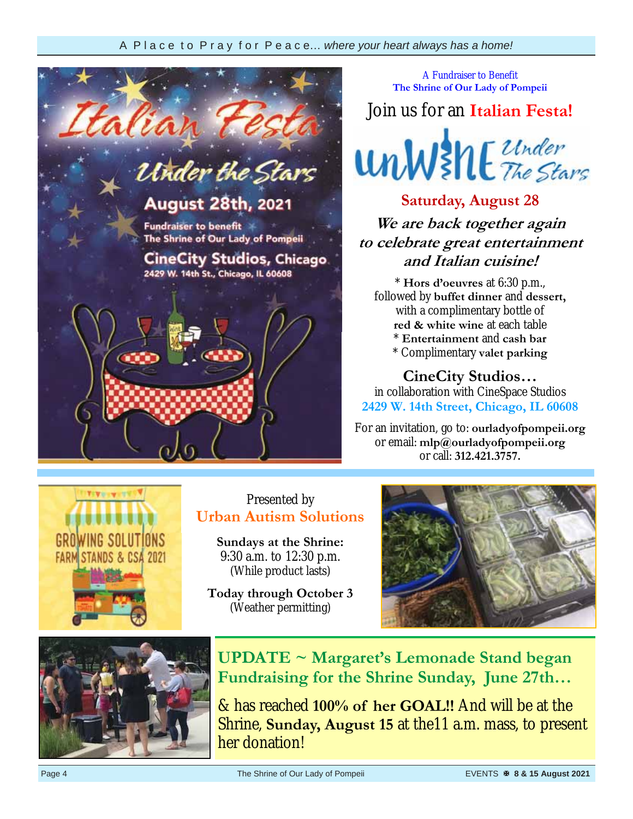

A Fundraiser to Benefit **The Shrine of Our Lady of Pompeii** 

Join us for an **Italian Festa!**



**Saturday, August 28 We are back together again to celebrate great entertainment and Italian cuisine!** 

\* **Hors d'oeuvres** at 6:30 p.m., followed by **buffet dinner** and **dessert,**  with a complimentary bottle of **red & white wine** at each table \* **Entertainment** and **cash bar** \* Complimentary **valet parking**

**CineCity Studios…** 

in collaboration with CineSpace Studios **2429 W. 14th Street, Chicago, IL 60608** 

For an invitation, go to: **ourladyofpompeii.org** or email: **mlp@ourladyofpompeii.org**  or call: **312.421.3757.** 



## Presented by **Urban Autism Solutions**

**Sundays at the Shrine:**  9:30 a.m. to 12:30 p.m. (While product lasts)

**Today through October 3**  (Weather permitting)





**UPDATE ~ Margaret's Lemonade Stand began Fundraising for the Shrine Sunday, June 27th…** 

& has reached **100% of her GOAL!!** And will be at the Shrine, **Sunday, August 15** at the11 a.m. mass, to present her donation!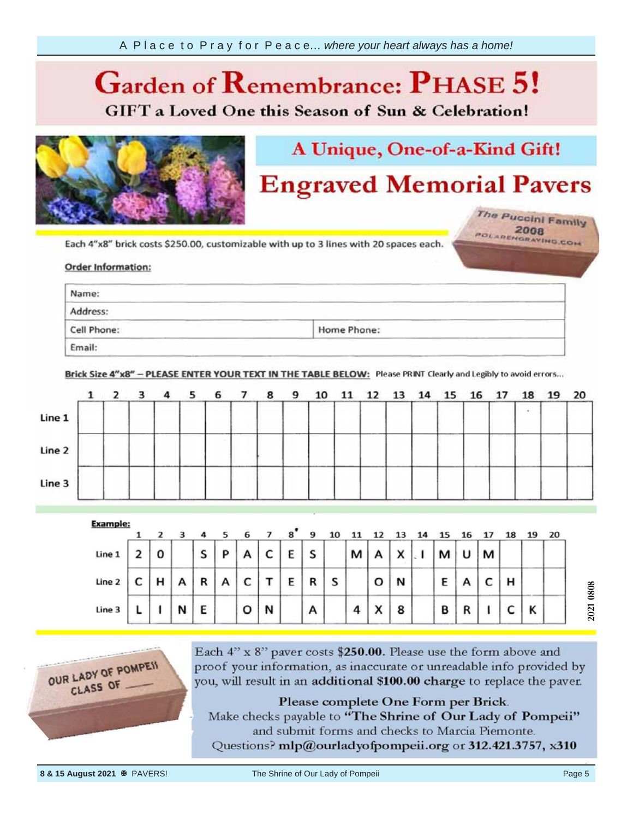## **Garden of**  *Ca* **GIFT** a Loved One this Season of Sun & Celebration!



## A Unique, One-of-a-Kind Gift!

## **Engraved Memorial Pavers**

The Puccini Family POLARENGRAVING.COM

your information, Each 4"x8"

#### Order info provided by the provided by the provided by the property of the property of the property of the property of the property of the property of the property of the property of the property of the property of the property of th

| Name:                                                                                                                                                                                                                                                         |                                                                                                                                                           |                                                                                                                                                                                                                               |  |
|---------------------------------------------------------------------------------------------------------------------------------------------------------------------------------------------------------------------------------------------------------------|-----------------------------------------------------------------------------------------------------------------------------------------------------------|-------------------------------------------------------------------------------------------------------------------------------------------------------------------------------------------------------------------------------|--|
| the company of the company of the company of the company of the company of the company of the company of the company of the company of the company of the company of the company of the company of the company of the company<br>Address:                     | and the company of the company of<br>and the contract of the contract of the contract of the contract of the contract of<br>and the state of the state of | the company of the company of the company of the company of the company of the company of the company of the company of the company of the company of the company of the company of the company of the company of the company |  |
| <u> San Angelin (San Angelin )</u><br>the control of the control of the con-<br>and the second control of the second control of the second control of the second control of<br>the control of the control of the control of the<br>Cell Phone:<br>Home Phone: |                                                                                                                                                           |                                                                                                                                                                                                                               |  |

Brick Size 4"x8" - PLEASE ENTER YOUR TEXT IN THE TABLE BELOW: Please PRINT Clearly and Legibly to avoid errors...

|        | $1\quad 2$ | 3 |       | 4 <sub>5</sub> | 6 7 | 89 | 10 |  | 11 12 13 14 15 16 17 |  |  | 18 | 19 20 |  |
|--------|------------|---|-------|----------------|-----|----|----|--|----------------------|--|--|----|-------|--|
| Line 1 |            |   |       |                |     |    |    |  |                      |  |  |    |       |  |
| Line 2 |            |   | ----- |                |     |    |    |  |                      |  |  |    |       |  |
| Line 3 |            |   |       |                |     |    |    |  |                      |  |  |    |       |  |

| <b>Example:</b> |   |   |   |   |   | 6 |        |   | 9 |   |   |           |              |   |   |   |   | 19 | 20 |
|-----------------|---|---|---|---|---|---|--------|---|---|---|---|-----------|--------------|---|---|---|---|----|----|
| Line 1          |   | 0 |   | S | D | А | r<br>◡ | E | S |   | м |           | $\checkmark$ | м |   | М |   |    |    |
| Line 2          | ๛ | н | Α | R | A | c |        | F | R | s |   | o         | N            | Ε |   |   | н |    |    |
| Line 3          |   |   | N | E |   | o | N      |   | А |   | 4 | $\lambda$ | 8            | B | n |   |   | Κ  |    |



Each 4" x 8" paver costs \$250.00. Please use the form above and proof your information, as inaccurate or unreadable info provided by you, will result in an additional \$100.00 charge to replace the paver.

Please complete One Form per Brick. Make checks payable to "The Shrine of Our Lady of Pompeii" and submit forms and checks to Marcia Piemonte. Questions? mlp@ourladyofpompeii.org or 312.421.3757, x310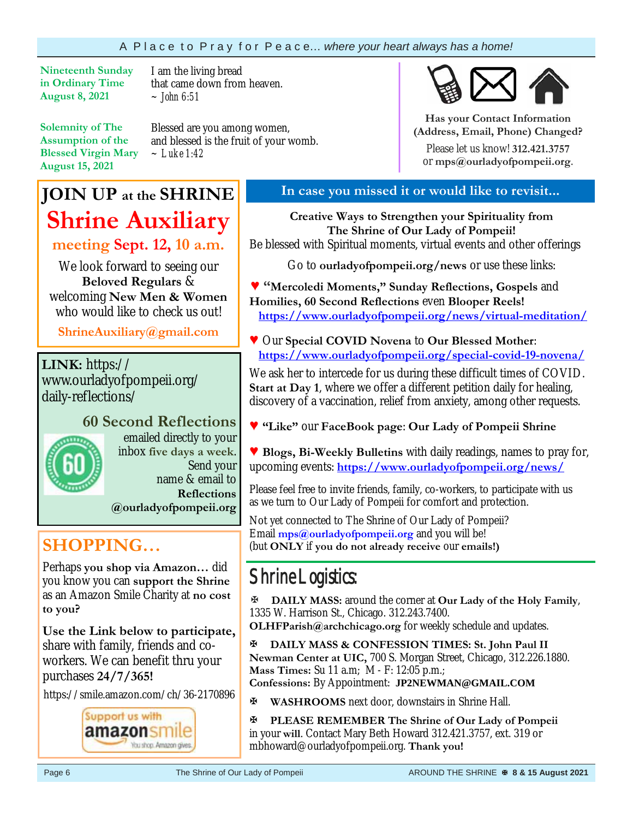### A P l a c e t o P r a y f o r P e a c e… *where your heart always has a home!*

**Nineteenth Sunday in Ordinary Time August 8, 2021** 

I am the living bread that came down from heaven. *~ John 6:51*

**Solemnity of The Assumption of the Blessed Virgin Mary August 15, 2021**

Blessed are you among women, and blessed is the fruit of your womb. *~ Luke 1:42*

## **JOIN UP at the SHRINE Shrine Auxiliary**

**meeting Sept. 12, 10 a.m.**

We look forward to seeing our **Beloved Regulars** & welcoming **New Men & Women**  who would like to check us out!

**ShrineAuxiliary@gmail.com**

**LINK:** https:// www.ourladyofpompeii.org/ daily-reflections/

# **60 Second Reflections**

emailed directly to your inbox **five days a week**. Send your name & email to **Reflections @ourladyofpompeii.org** 

**SHOPPING…** 

Perhaps **you shop via Amazon…** did you know you can **support the Shrine**  as an Amazon Smile Charity at **no cost to you?** 

**Use the Link below to participate,** share with family, friends and coworkers. We can benefit thru your purchases **24/7/365!**

https://smile.amazon.com/ch/36-2170896



## **In case you missed it or would like to revisit...**

**Creative Ways to Strengthen your Spirituality from The Shrine of Our Lady of Pompeii!**  Be blessed with Spiritual moments, virtual events and other offerings

Go to **ourladyofpompeii.org/news** or use these links:

**♥ "Mercoledi Moments," Sunday Reflections, Gospels** and **Homilies, 60 Second Reflections** even **Blooper Reels! https://www.ourladyofpompeii.org/news/virtual-meditation/** 

**♥** Our **Special COVID Novena** to **Our Blessed Mother**:  **https://www.ourladyofpompeii.org/special-covid-19-novena/** 

We ask her to intercede for us during these difficult times of COVID. **Start at Day 1**, where we offer a different petition daily for healing, discovery of a vaccination, relief from anxiety, among other requests.

**♥ "Like"** our **FaceBook page**: **Our Lady of Pompeii Shrine** 

**♥ Blogs, Bi-Weekly Bulletins** with daily readings, names to pray for, upcoming events: **https://www.ourladyofpompeii.org/news/** 

Please feel free to invite friends, family, co-workers, to participate with us as we turn to Our Lady of Pompeii for comfort and protection.

Not yet connected to The Shrine of Our Lady of Pompeii? Email **mps@ourladyofpompeii.org** and you will be! (but **ONLY** if **you do not already receive** our **emails!)**

## Shrine Logistics:

**DAILY MASS:** around the corner at **Our Lady of the Holy Family**, 1335 W. Harrison St., Chicago. 312.243.7400.

**OLHFParish@archchicago.org** for weekly schedule and updates.

**DAILY MASS & CONFESSION TIMES: St. John Paul II Newman Center at UIC,** 700 S. Morgan Street, Chicago, 312.226.1880. **Mass Times:** Su 11 a.m; M - F: 12:05 p.m.;

**Confessions:** By Appointment: **JP2NEWMAN@GMAIL.COM**

**WASHROOMS** next door, downstairs in Shrine Hall.

**PLEASE REMEMBER The Shrine of Our Lady of Pompeii**  in your **will**. Contact Mary Beth Howard 312.421.3757, ext. 319 or mbhoward@ourladyofpompeii.org. **Thank you!** 



**Has your Contact Information (Address, Email, Phone) Changed?**

Please let us know! **312.421.3757**  or **mps@ourladyofpompeii.org**.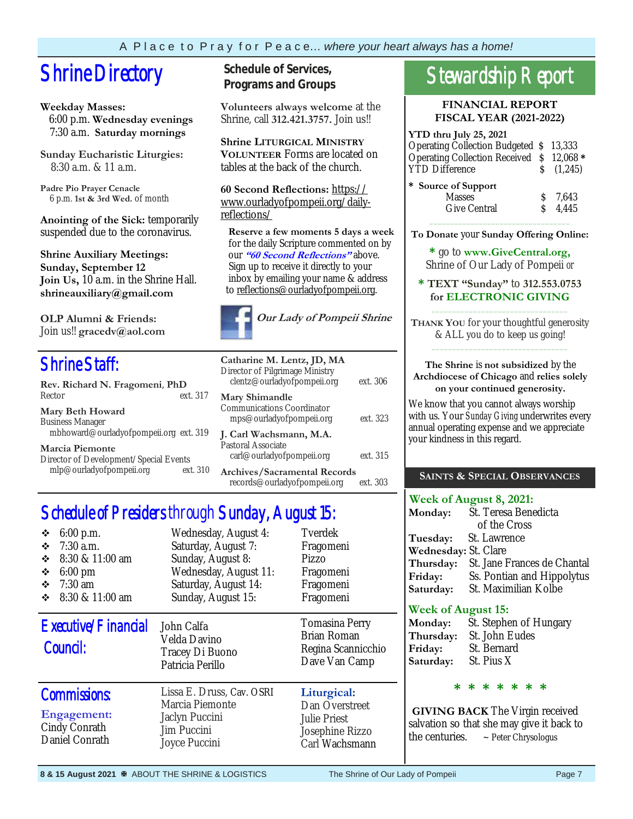## **Shrine Directory** Schedule of Services,

#### **Weekday Masses:**

 6:00 p.m. **Wednesday evenings** 7:30 a.m. **Saturday mornings**

**Sunday Eucharistic Liturgies:** 8:30 a.m. & 11 a.m.

**Padre Pio Prayer Cenacle** 6 p.m. **1st & 3rd Wed.** of month

**Anointing of the Sick:** temporarily suspended due to the coronavirus.

**Shrine Auxiliary Meetings: Sunday, September 12 Join Us,** 10 a.m. in the Shrine Hall. **shrineauxiliary@gmail.com** 

**OLP Alumni & Friends:**  Join us!! **gracedv@aol.com** 

## Shrine Staff:

| Rev. Richard N. Fragomeni, PhD         |          |
|----------------------------------------|----------|
| Rector                                 | ext. 317 |
| <b>Mary Beth Howard</b>                |          |
| <b>Business Manager</b>                |          |
| mbhoward@ourladyofpompeii.org ext. 319 |          |
| <b>Marcia Piemonte</b>                 |          |
| Director of Development/Special Events |          |
| mlp@ourladyofpompeii.org               | ext. 310 |

**Programs and Groups**

**Volunteers always welcome** at the Shrine, call **312.421.3757.** Join us!!

**Shrine LITURGICAL MINISTRY VOLUNTEER** Forms are located on tables at the back of the church.

**60 Second Reflections:** https:// www.ourladyofpompeii.org/dailyreflections/

 **Reserve a few moments 5 days a week**  for the daily Scripture commented on by our **"60 Second Reflections"** above. Sign up to receive it directly to your inbox by emailing your name & address to reflections@ourladyofpompeii.org.



| Catharine M. Lentz, JD, MA<br>Director of Pilgrimage Ministry<br>clentz@ourladyofpompeii.org | ext. 306 |
|----------------------------------------------------------------------------------------------|----------|
| Mary Shimandle<br>Communications Coordinator<br>mps@ourladyofpompeii.org                     | ext. 323 |
| J. Carl Wachsmann, M.A.<br>Pastoral Associate<br>carl@ourladyofpompeii.org                   | ext. 315 |
| <b>Archives/Sacramental Records</b><br>records@ourladyofpompeii.org                          | ext. 303 |

## Schedule of Presiders through Sunday, August 15:

| $6:00$ p.m.<br>❖<br>7:30 a.m.<br>❖<br>❖<br>8:30 & 11:00 am<br>❖<br>$6:00 \text{ pm}$<br>❖<br>$7:30$ am<br>8:30 & 11:00 am<br>❖ | Wednesday, August 4:<br>Saturday, August 7:<br>Sunday, August 8:<br>Wednesday, August 11:<br>Saturday, August 14:<br>Sunday, August 15: | Tverdek<br>Fragomeni<br>Pizzo<br>Fragomeni<br>Fragomeni<br>Fragomeni                      |
|--------------------------------------------------------------------------------------------------------------------------------|-----------------------------------------------------------------------------------------------------------------------------------------|-------------------------------------------------------------------------------------------|
| Executive/Financial<br>Council:                                                                                                | John Calfa<br>Velda Davino<br>Tracey Di Buono<br>Patricia Perillo                                                                       | <b>Tomasina Perry</b><br><b>Brian Roman</b><br>Regina Scannicchio<br>Dave Van Camp        |
| <b>Commissions:</b><br>Engagement:<br>Cindy Conrath<br>Daniel Conrath                                                          | Lissa E. Druss, Cav. OSRI<br>Marcia Piemonte<br>Jaclyn Puccini<br>Jim Puccini<br>Joyce Puccini                                          | Liturgical:<br>Dan Overstreet<br><b>Julie Priest</b><br>Josephine Rizzo<br>Carl Wachsmann |

## Stewardship Report

#### **FINANCIAL REPORT FISCAL YEAR (2021-2022)**

#### **YTD thru July 25, 2021**  Operating Collection Budgeted \$ 13,333 Operating Collection Received \$ 12,068 **\*** YTD Difference  $\qquad \qquad$  \$ (1,245) **\* Source of Support**  Masses  $\qquad \qquad$  \$ 7.643 Give Central  $\qquad \qquad$  \$ 4,445

\_\_\_\_\_\_\_\_\_\_\_\_\_\_\_\_\_\_\_\_\_\_\_\_\_\_\_\_\_\_\_\_\_\_ **To Donate** your **Sunday Offering Online:** 

**\*** go to **www.GiveCentral.org,** Shrine of Our Lady of Pompeii *or* 

**\* TEXT "Sunday"** to **312.553.0753 for ELECTRONIC GIVING** \_\_\_\_\_\_\_\_\_\_\_\_\_\_\_\_\_\_\_\_\_\_\_\_\_\_\_\_\_\_\_\_\_

**THANK YOU** for your thoughtful generosity & ALL you do to keep us going! \_\_\_\_\_\_\_\_\_\_\_\_\_\_\_\_\_\_\_\_\_\_\_\_\_\_\_\_\_\_\_\_\_

#### **The Shrine** is **not subsidized** by the **Archdiocese of Chicago** and **relies solely on your continued generosity.**

We know that you cannot always worship with us. Your *Sunday Giving* underwrites every annual operating expense and we appreciate your kindness in this regard.

### **SAINTS & SPECIAL OBSERVANCES**

|                       | Week of August 8, 2021: |
|-----------------------|-------------------------|
| <b>Monday:</b>        | St. Teresa Benedicta    |
|                       | of the Cross            |
| $T_{\text{measured}}$ | St. Lawronco            |

**Tuesday:** St. Lawrence **Wednesday:** St. Clare **Thursday:** St. Jane Frances de Chantal **Friday:** Ss. Pontian and Hippolytus **Saturday:** St. Maximilian Kolbe

### **Week of August 15:**

| <b>Monday:</b> | St. Stephen of Hungary |
|----------------|------------------------|
| Thursday:      | St. John Eudes         |
| Friday:        | St. Bernard            |
| Saturday:      | St. Pius X             |

#### **\* \* \* \* \* \* \***

**GIVING BACK** The Virgin received salvation so that she may give it back to the centuries.  $\sim$  Peter Chrysologus